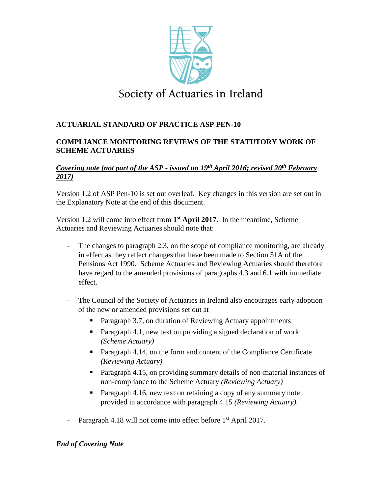

# Society of Actuaries in Ireland

# **ACTUARIAL STANDARD OF PRACTICE ASP PEN-10**

# **COMPLIANCE MONITORING REVIEWS OF THE STATUTORY WORK OF SCHEME ACTUARIES**

# *Covering note (not part of the ASP - issued on 19<sup>th</sup> April 2016; revised 20<sup>th</sup> February 2017)*

Version 1.2 of ASP Pen-10 is set out overleaf. Key changes in this version are set out in the Explanatory Note at the end of this document.

Version 1.2 will come into effect from **1 st April 2017**. In the meantime, Scheme Actuaries and Reviewing Actuaries should note that:

- The changes to paragraph 2.3, on the scope of compliance monitoring, are already in effect as they reflect changes that have been made to Section 51A of the Pensions Act 1990. Scheme Actuaries and Reviewing Actuaries should therefore have regard to the amended provisions of paragraphs 4.3 and 6.1 with immediate effect.
- The Council of the Society of Actuaries in Ireland also encourages early adoption of the new or amended provisions set out at
	- Paragraph 3.7, on duration of Reviewing Actuary appointments
	- **Paragraph 4.1, new text on providing a signed declaration of work** *(Scheme Actuary)*
	- **Paragraph 4.14, on the form and content of the Compliance Certificate** *(Reviewing Actuary)*
	- **Paragraph 4.15, on providing summary details of non-material instances of** non-compliance to the Scheme Actuary *(Reviewing Actuary)*
	- **Paragraph 4.16, new text on retaining a copy of any summary note** provided in accordance with paragraph 4.15 *(Reviewing Actuary).*
- Paragraph 4.18 will not come into effect before 1<sup>st</sup> April 2017.

# *End of Covering Note*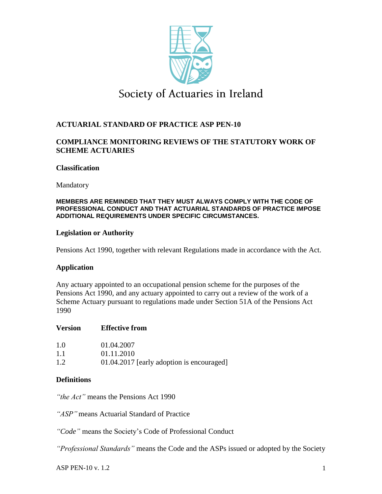

# Society of Actuaries in Ireland

# **ACTUARIAL STANDARD OF PRACTICE ASP PEN-10**

## **COMPLIANCE MONITORING REVIEWS OF THE STATUTORY WORK OF SCHEME ACTUARIES**

#### **Classification**

Mandatory

#### **MEMBERS ARE REMINDED THAT THEY MUST ALWAYS COMPLY WITH THE CODE OF PROFESSIONAL CONDUCT AND THAT ACTUARIAL STANDARDS OF PRACTICE IMPOSE ADDITIONAL REQUIREMENTS UNDER SPECIFIC CIRCUMSTANCES.**

#### **Legislation or Authority**

Pensions Act 1990, together with relevant Regulations made in accordance with the Act.

#### **Application**

Any actuary appointed to an occupational pension scheme for the purposes of the Pensions Act 1990, and any actuary appointed to carry out a review of the work of a Scheme Actuary pursuant to regulations made under Section 51A of the Pensions Act 1990

#### **Version Effective from**

| 1.0 | 01.04.2007                                |
|-----|-------------------------------------------|
| 1.1 | 01.11.2010                                |
| 1.2 | 01.04.2017 [early adoption is encouraged] |

#### **Definitions**

*"the Act"* means the Pensions Act 1990

*"ASP"* means Actuarial Standard of Practice

*"Code"* means the Society's Code of Professional Conduct

*"Professional Standards"* means the Code and the ASPs issued or adopted by the Society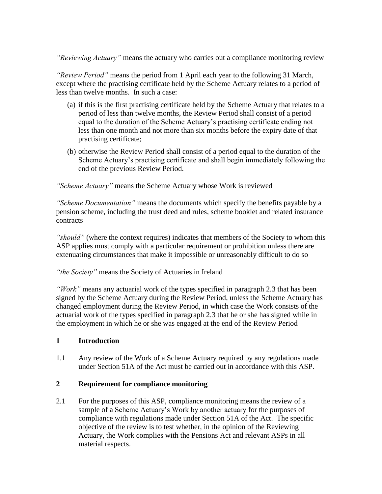*"Reviewing Actuary"* means the actuary who carries out a compliance monitoring review

*"Review Period"* means the period from 1 April each year to the following 31 March, except where the practising certificate held by the Scheme Actuary relates to a period of less than twelve months. In such a case:

- (a) if this is the first practising certificate held by the Scheme Actuary that relates to a period of less than twelve months, the Review Period shall consist of a period equal to the duration of the Scheme Actuary's practising certificate ending not less than one month and not more than six months before the expiry date of that practising certificate;
- (b) otherwise the Review Period shall consist of a period equal to the duration of the Scheme Actuary's practising certificate and shall begin immediately following the end of the previous Review Period.

*"Scheme Actuary"* means the Scheme Actuary whose Work is reviewed

*"Scheme Documentation"* means the documents which specify the benefits payable by a pension scheme, including the trust deed and rules, scheme booklet and related insurance contracts

*"should"* (where the context requires) indicates that members of the Society to whom this ASP applies must comply with a particular requirement or prohibition unless there are extenuating circumstances that make it impossible or unreasonably difficult to do so

*"the Society"* means the Society of Actuaries in Ireland

*"Work"* means any actuarial work of the types specified in paragraph 2.3 that has been signed by the Scheme Actuary during the Review Period, unless the Scheme Actuary has changed employment during the Review Period, in which case the Work consists of the actuarial work of the types specified in paragraph 2.3 that he or she has signed while in the employment in which he or she was engaged at the end of the Review Period

## **1 Introduction**

1.1 Any review of the Work of a Scheme Actuary required by any regulations made under Section 51A of the Act must be carried out in accordance with this ASP.

## **2 Requirement for compliance monitoring**

2.1 For the purposes of this ASP, compliance monitoring means the review of a sample of a Scheme Actuary's Work by another actuary for the purposes of compliance with regulations made under Section 51A of the Act. The specific objective of the review is to test whether, in the opinion of the Reviewing Actuary, the Work complies with the Pensions Act and relevant ASPs in all material respects.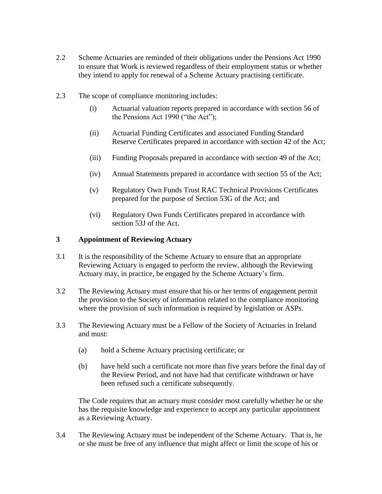- 2.2 Scheme Actuaries are reminded of their obligations under the Pensions Act 1990 to ensure that Work is reviewed regardless of their employment status or whether they intend to apply for renewal of a Scheme Actuary practising certificate.
- 2.3 The scope of compliance monitoring includes:
	- (i) Actuarial valuation reports prepared in accordance with section 56 of the Pensions Act 1990 ("the Act");
	- (ii) Actuarial Funding Certificates and associated Funding Standard Reserve Certificates prepared in accordance with section 42 of the Act;
	- (iii) Funding Proposals prepared in accordance with section 49 of the Act;
	- (iv) Annual Statements prepared in accordance with section 55 of the Act;
	- (v) Regulatory Own Funds Trust RAC Technical Provisions Certificates prepared for the purpose of Section 53G of the Act; and
	- (vi) Regulatory Own Funds Certificates prepared in accordance with section 53J of the Act.

#### **3 Appointment of Reviewing Actuary**

- 3.1 It is the responsibility of the Scheme Actuary to ensure that an appropriate Reviewing Actuary is engaged to perform the review, although the Reviewing Actuary may, in practice, be engaged by the Scheme Actuary's firm.
- 3.2 The Reviewing Actuary must ensure that his or her terms of engagement permit the provision to the Society of information related to the compliance monitoring where the provision of such information is required by legislation or ASPs.
- 3.3 The Reviewing Actuary must be a Fellow of the Society of Actuaries in Ireland and must:
	- (a) hold a Scheme Actuary practising certificate; or
	- (b) have held such a certificate not more than five years before the final day of the Review Period, and not have had that certificate withdrawn or have been refused such a certificate subsequently.

The Code requires that an actuary must consider most carefully whether he or she has the requisite knowledge and experience to accept any particular appointment as a Reviewing Actuary.

3.4 The Reviewing Actuary must be independent of the Scheme Actuary. That is, he or she must be free of any influence that might affect or limit the scope of his or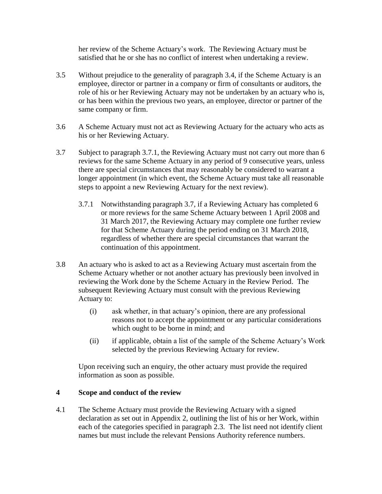her review of the Scheme Actuary's work. The Reviewing Actuary must be satisfied that he or she has no conflict of interest when undertaking a review.

- 3.5 Without prejudice to the generality of paragraph 3.4, if the Scheme Actuary is an employee, director or partner in a company or firm of consultants or auditors, the role of his or her Reviewing Actuary may not be undertaken by an actuary who is, or has been within the previous two years, an employee, director or partner of the same company or firm.
- 3.6 A Scheme Actuary must not act as Reviewing Actuary for the actuary who acts as his or her Reviewing Actuary.
- 3.7 Subject to paragraph 3.7.1, the Reviewing Actuary must not carry out more than 6 reviews for the same Scheme Actuary in any period of 9 consecutive years, unless there are special circumstances that may reasonably be considered to warrant a longer appointment (in which event, the Scheme Actuary must take all reasonable steps to appoint a new Reviewing Actuary for the next review).
	- 3.7.1 Notwithstanding paragraph 3.7, if a Reviewing Actuary has completed 6 or more reviews for the same Scheme Actuary between 1 April 2008 and 31 March 2017, the Reviewing Actuary may complete one further review for that Scheme Actuary during the period ending on 31 March 2018, regardless of whether there are special circumstances that warrant the continuation of this appointment.
- 3.8 An actuary who is asked to act as a Reviewing Actuary must ascertain from the Scheme Actuary whether or not another actuary has previously been involved in reviewing the Work done by the Scheme Actuary in the Review Period. The subsequent Reviewing Actuary must consult with the previous Reviewing Actuary to:
	- (i) ask whether, in that actuary's opinion, there are any professional reasons not to accept the appointment or any particular considerations which ought to be borne in mind; and
	- (ii) if applicable, obtain a list of the sample of the Scheme Actuary's Work selected by the previous Reviewing Actuary for review.

Upon receiving such an enquiry, the other actuary must provide the required information as soon as possible.

## **4 Scope and conduct of the review**

4.1 The Scheme Actuary must provide the Reviewing Actuary with a signed declaration as set out in Appendix 2, outlining the list of his or her Work, within each of the categories specified in paragraph 2.3. The list need not identify client names but must include the relevant Pensions Authority reference numbers.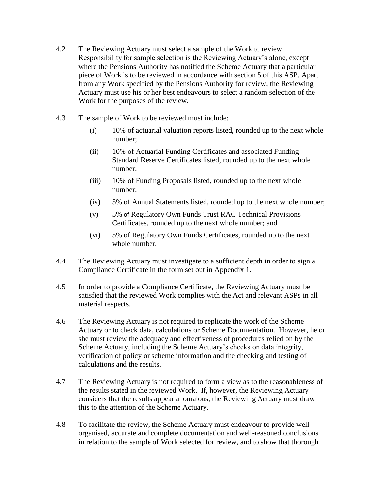- 4.2 The Reviewing Actuary must select a sample of the Work to review. Responsibility for sample selection is the Reviewing Actuary's alone, except where the Pensions Authority has notified the Scheme Actuary that a particular piece of Work is to be reviewed in accordance with section 5 of this ASP. Apart from any Work specified by the Pensions Authority for review, the Reviewing Actuary must use his or her best endeavours to select a random selection of the Work for the purposes of the review.
- 4.3 The sample of Work to be reviewed must include:
	- (i) 10% of actuarial valuation reports listed, rounded up to the next whole number;
	- (ii) 10% of Actuarial Funding Certificates and associated Funding Standard Reserve Certificates listed, rounded up to the next whole number;
	- (iii) 10% of Funding Proposals listed, rounded up to the next whole number;
	- (iv) 5% of Annual Statements listed, rounded up to the next whole number;
	- (v) 5% of Regulatory Own Funds Trust RAC Technical Provisions Certificates, rounded up to the next whole number; and
	- (vi) 5% of Regulatory Own Funds Certificates, rounded up to the next whole number.
- 4.4 The Reviewing Actuary must investigate to a sufficient depth in order to sign a Compliance Certificate in the form set out in Appendix 1.
- 4.5 In order to provide a Compliance Certificate, the Reviewing Actuary must be satisfied that the reviewed Work complies with the Act and relevant ASPs in all material respects.
- 4.6 The Reviewing Actuary is not required to replicate the work of the Scheme Actuary or to check data, calculations or Scheme Documentation. However, he or she must review the adequacy and effectiveness of procedures relied on by the Scheme Actuary, including the Scheme Actuary's checks on data integrity, verification of policy or scheme information and the checking and testing of calculations and the results.
- 4.7 The Reviewing Actuary is not required to form a view as to the reasonableness of the results stated in the reviewed Work. If, however, the Reviewing Actuary considers that the results appear anomalous, the Reviewing Actuary must draw this to the attention of the Scheme Actuary.
- 4.8 To facilitate the review, the Scheme Actuary must endeavour to provide wellorganised, accurate and complete documentation and well-reasoned conclusions in relation to the sample of Work selected for review, and to show that thorough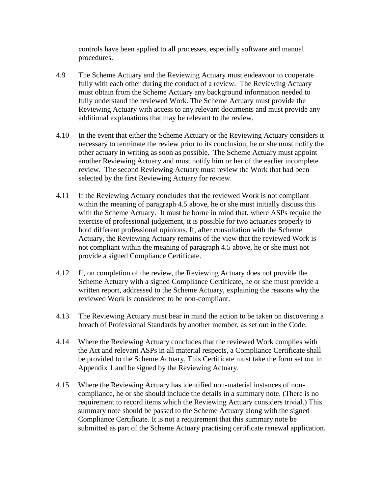controls have been applied to all processes, especially software and manual procedures.

- 4.9 The Scheme Actuary and the Reviewing Actuary must endeavour to cooperate fully with each other during the conduct of a review. The Reviewing Actuary must obtain from the Scheme Actuary any background information needed to fully understand the reviewed Work. The Scheme Actuary must provide the Reviewing Actuary with access to any relevant documents and must provide any additional explanations that may be relevant to the review.
- 4.10 In the event that either the Scheme Actuary or the Reviewing Actuary considers it necessary to terminate the review prior to its conclusion, he or she must notify the other actuary in writing as soon as possible. The Scheme Actuary must appoint another Reviewing Actuary and must notify him or her of the earlier incomplete review. The second Reviewing Actuary must review the Work that had been selected by the first Reviewing Actuary for review.
- 4.11 If the Reviewing Actuary concludes that the reviewed Work is not compliant within the meaning of paragraph 4.5 above, he or she must initially discuss this with the Scheme Actuary. It must be borne in mind that, where ASPs require the exercise of professional judgement, it is possible for two actuaries properly to hold different professional opinions. If, after consultation with the Scheme Actuary, the Reviewing Actuary remains of the view that the reviewed Work is not compliant within the meaning of paragraph 4.5 above, he or she must not provide a signed Compliance Certificate.
- 4.12 If, on completion of the review, the Reviewing Actuary does not provide the Scheme Actuary with a signed Compliance Certificate, he or she must provide a written report, addressed to the Scheme Actuary, explaining the reasons why the reviewed Work is considered to be non-compliant.
- 4.13 The Reviewing Actuary must bear in mind the action to be taken on discovering a breach of Professional Standards by another member, as set out in the Code.
- 4.14 Where the Reviewing Actuary concludes that the reviewed Work complies with the Act and relevant ASPs in all material respects, a Compliance Certificate shall be provided to the Scheme Actuary. This Certificate must take the form set out in Appendix 1 and be signed by the Reviewing Actuary.
- 4.15 Where the Reviewing Actuary has identified non-material instances of noncompliance, he or she should include the details in a summary note. (There is no requirement to record items which the Reviewing Actuary considers trivial.) This summary note should be passed to the Scheme Actuary along with the signed Compliance Certificate. It is not a requirement that this summary note be submitted as part of the Scheme Actuary practising certificate renewal application.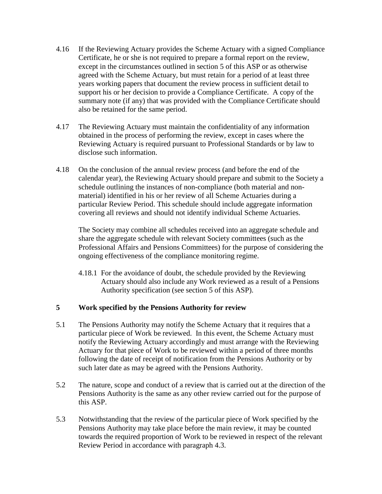- 4.16 If the Reviewing Actuary provides the Scheme Actuary with a signed Compliance Certificate, he or she is not required to prepare a formal report on the review, except in the circumstances outlined in section 5 of this ASP or as otherwise agreed with the Scheme Actuary, but must retain for a period of at least three years working papers that document the review process in sufficient detail to support his or her decision to provide a Compliance Certificate. A copy of the summary note (if any) that was provided with the Compliance Certificate should also be retained for the same period.
- 4.17 The Reviewing Actuary must maintain the confidentiality of any information obtained in the process of performing the review, except in cases where the Reviewing Actuary is required pursuant to Professional Standards or by law to disclose such information.
- 4.18 On the conclusion of the annual review process (and before the end of the calendar year), the Reviewing Actuary should prepare and submit to the Society a schedule outlining the instances of non-compliance (both material and nonmaterial) identified in his or her review of all Scheme Actuaries during a particular Review Period. This schedule should include aggregate information covering all reviews and should not identify individual Scheme Actuaries.

The Society may combine all schedules received into an aggregate schedule and share the aggregate schedule with relevant Society committees (such as the Professional Affairs and Pensions Committees) for the purpose of considering the ongoing effectiveness of the compliance monitoring regime.

4.18.1 For the avoidance of doubt, the schedule provided by the Reviewing Actuary should also include any Work reviewed as a result of a Pensions Authority specification (see section 5 of this ASP).

#### **5 Work specified by the Pensions Authority for review**

- 5.1 The Pensions Authority may notify the Scheme Actuary that it requires that a particular piece of Work be reviewed. In this event, the Scheme Actuary must notify the Reviewing Actuary accordingly and must arrange with the Reviewing Actuary for that piece of Work to be reviewed within a period of three months following the date of receipt of notification from the Pensions Authority or by such later date as may be agreed with the Pensions Authority.
- 5.2 The nature, scope and conduct of a review that is carried out at the direction of the Pensions Authority is the same as any other review carried out for the purpose of this ASP.
- 5.3 Notwithstanding that the review of the particular piece of Work specified by the Pensions Authority may take place before the main review, it may be counted towards the required proportion of Work to be reviewed in respect of the relevant Review Period in accordance with paragraph 4.3.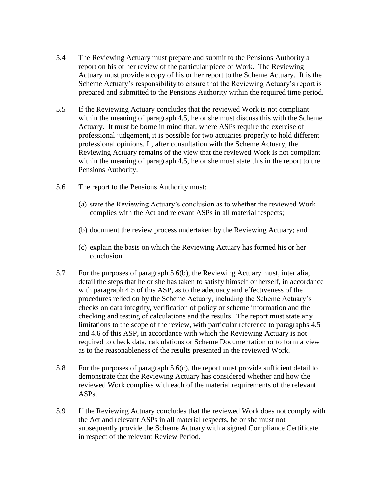- 5.4 The Reviewing Actuary must prepare and submit to the Pensions Authority a report on his or her review of the particular piece of Work. The Reviewing Actuary must provide a copy of his or her report to the Scheme Actuary. It is the Scheme Actuary's responsibility to ensure that the Reviewing Actuary's report is prepared and submitted to the Pensions Authority within the required time period.
- 5.5 If the Reviewing Actuary concludes that the reviewed Work is not compliant within the meaning of paragraph 4.5, he or she must discuss this with the Scheme Actuary. It must be borne in mind that, where ASPs require the exercise of professional judgement, it is possible for two actuaries properly to hold different professional opinions. If, after consultation with the Scheme Actuary, the Reviewing Actuary remains of the view that the reviewed Work is not compliant within the meaning of paragraph 4.5, he or she must state this in the report to the Pensions Authority.
- 5.6 The report to the Pensions Authority must:
	- (a) state the Reviewing Actuary's conclusion as to whether the reviewed Work complies with the Act and relevant ASPs in all material respects;
	- (b) document the review process undertaken by the Reviewing Actuary; and
	- (c) explain the basis on which the Reviewing Actuary has formed his or her conclusion.
- 5.7 For the purposes of paragraph 5.6(b), the Reviewing Actuary must, inter alia, detail the steps that he or she has taken to satisfy himself or herself, in accordance with paragraph 4.5 of this ASP, as to the adequacy and effectiveness of the procedures relied on by the Scheme Actuary, including the Scheme Actuary's checks on data integrity, verification of policy or scheme information and the checking and testing of calculations and the results. The report must state any limitations to the scope of the review, with particular reference to paragraphs 4.5 and 4.6 of this ASP, in accordance with which the Reviewing Actuary is not required to check data, calculations or Scheme Documentation or to form a view as to the reasonableness of the results presented in the reviewed Work.
- 5.8 For the purposes of paragraph 5.6(c), the report must provide sufficient detail to demonstrate that the Reviewing Actuary has considered whether and how the reviewed Work complies with each of the material requirements of the relevant ASPs.
- 5.9 If the Reviewing Actuary concludes that the reviewed Work does not comply with the Act and relevant ASPs in all material respects, he or she must not subsequently provide the Scheme Actuary with a signed Compliance Certificate in respect of the relevant Review Period.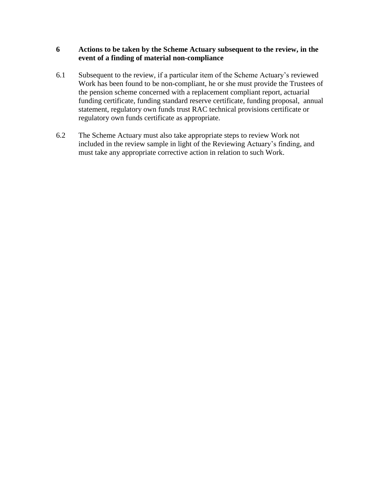#### **6 Actions to be taken by the Scheme Actuary subsequent to the review, in the event of a finding of material non-compliance**

- 6.1 Subsequent to the review, if a particular item of the Scheme Actuary's reviewed Work has been found to be non-compliant, he or she must provide the Trustees of the pension scheme concerned with a replacement compliant report, actuarial funding certificate, funding standard reserve certificate, funding proposal, annual statement, regulatory own funds trust RAC technical provisions certificate or regulatory own funds certificate as appropriate.
- 6.2 The Scheme Actuary must also take appropriate steps to review Work not included in the review sample in light of the Reviewing Actuary's finding, and must take any appropriate corrective action in relation to such Work.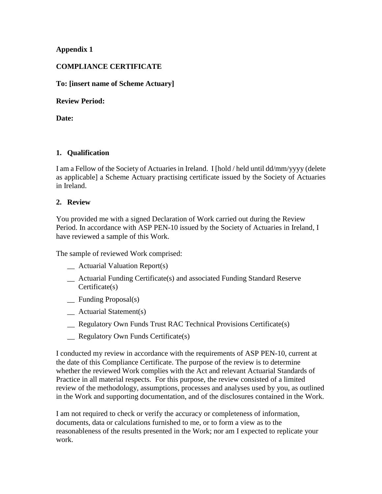### **Appendix 1**

### **COMPLIANCE CERTIFICATE**

#### **To: [insert name of Scheme Actuary]**

#### **Review Period:**

**Date:**

#### **1. Qualification**

I am a Fellow of the Society of Actuaries in Ireland. I [hold / held until dd/mm/yyyy (delete as applicable] a Scheme Actuary practising certificate issued by the Society of Actuaries in Ireland.

#### **2. Review**

You provided me with a signed Declaration of Work carried out during the Review Period. In accordance with ASP PEN-10 issued by the Society of Actuaries in Ireland, I have reviewed a sample of this Work.

The sample of reviewed Work comprised:

- \_\_ Actuarial Valuation Report(s)
- \_\_ Actuarial Funding Certificate(s) and associated Funding Standard Reserve Certificate(s)
- \_\_ Funding Proposal(s)
- \_\_ Actuarial Statement(s)
- \_\_ Regulatory Own Funds Trust RAC Technical Provisions Certificate(s)
- \_\_ Regulatory Own Funds Certificate(s)

I conducted my review in accordance with the requirements of ASP PEN-10, current at the date of this Compliance Certificate. The purpose of the review is to determine whether the reviewed Work complies with the Act and relevant Actuarial Standards of Practice in all material respects. For this purpose, the review consisted of a limited review of the methodology, assumptions, processes and analyses used by you, as outlined in the Work and supporting documentation, and of the disclosures contained in the Work.

I am not required to check or verify the accuracy or completeness of information, documents, data or calculations furnished to me, or to form a view as to the reasonableness of the results presented in the Work; nor am I expected to replicate your work.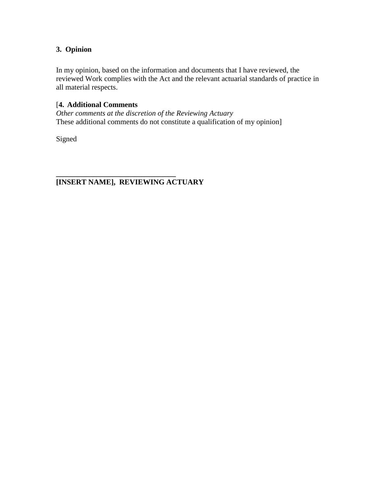# **3. Opinion**

In my opinion, based on the information and documents that I have reviewed, the reviewed Work complies with the Act and the relevant actuarial standards of practice in all material respects.

# [**4. Additional Comments**

*Other comments at the discretion of the Reviewing Actuary* These additional comments do not constitute a qualification of my opinion]

Signed

**\_\_\_\_\_\_\_\_\_\_\_\_\_\_\_\_\_\_\_\_\_\_\_\_\_\_\_\_\_\_\_\_ [INSERT NAME], REVIEWING ACTUARY**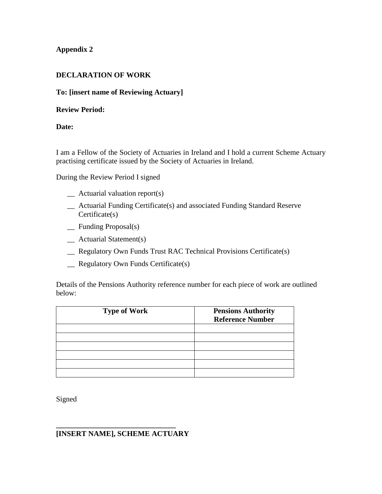## **Appendix 2**

## **DECLARATION OF WORK**

## **To: [insert name of Reviewing Actuary]**

## **Review Period:**

# **Date:**

I am a Fellow of the Society of Actuaries in Ireland and I hold a current Scheme Actuary practising certificate issued by the Society of Actuaries in Ireland.

During the Review Period I signed

- \_\_ Actuarial valuation report(s)
- \_\_ Actuarial Funding Certificate(s) and associated Funding Standard Reserve Certificate(s)
- \_\_ Funding Proposal(s)
- \_\_ Actuarial Statement(s)
- \_\_ Regulatory Own Funds Trust RAC Technical Provisions Certificate(s)
- \_\_ Regulatory Own Funds Certificate(s)

Details of the Pensions Authority reference number for each piece of work are outlined below:

| <b>Type of Work</b> | <b>Pensions Authority</b><br><b>Reference Number</b> |
|---------------------|------------------------------------------------------|
|                     |                                                      |
|                     |                                                      |
|                     |                                                      |
|                     |                                                      |
|                     |                                                      |
|                     |                                                      |

Signed

#### **\_\_\_\_\_\_\_\_\_\_\_\_\_\_\_\_\_\_\_\_\_\_\_\_\_\_\_\_\_\_\_\_ [INSERT NAME], SCHEME ACTUARY**